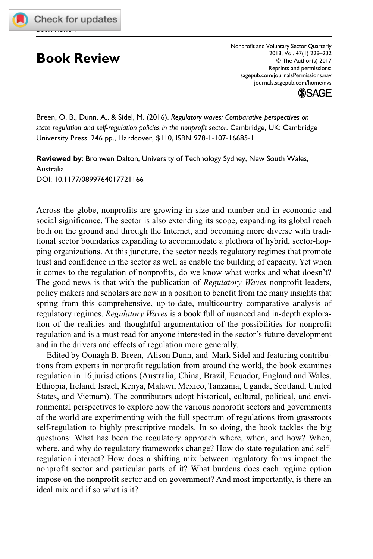

## **Book Review**

Nonprofit and Voluntary Sector Quarterly 2018, Vol. 47(1) 228–232 © The Author(s) 2017 Reprints and permissions: [sagepub.com/journalsPermissions.nav](https://us.sagepub.com/en-us/journals-permissions) [journals.sagepub.com/home/nvs](https://journals.sagepub.com/home/nvs)



Breen, O. B., Dunn, A., & Sidel, M. (2016). *Regulatory waves: Comparative perspectives on state regulation and self-regulation policies in the nonprofit sector*. Cambridge, UK: Cambridge University Press. 246 pp., Hardcover, \$110, ISBN 978-1-107-16685-1

**Reviewed by**: Bronwen Dalton, University of Technology Sydney, New South Wales, Australia. [DOI: 10.1177/0899764017721166](http://doi.org/10.1177/0899764017721166)

Across the globe, nonprofits are growing in size and number and in economic and social significance. The sector is also extending its scope, expanding its global reach both on the ground and through the Internet, and becoming more diverse with traditional sector boundaries expanding to accommodate a plethora of hybrid, sector-hopping organizations. At this juncture, the sector needs regulatory regimes that promote trust and confidence in the sector as well as enable the building of capacity. Yet when it comes to the regulation of nonprofits, do we know what works and what doesn't? The good news is that with the publication of *Regulatory Waves* nonprofit leaders, policy makers and scholars are now in a position to benefit from the many insights that spring from this comprehensive, up-to-date, multicountry comparative analysis of regulatory regimes. *Regulatory Waves* is a book full of nuanced and in-depth exploration of the realities and thoughtful argumentation of the possibilities for nonprofit regulation and is a must read for anyone interested in the sector's future development and in the drivers and effects of regulation more generally.

Edited by Oonagh B. Breen, Alison Dunn, and Mark Sidel and featuring contributions from experts in nonprofit regulation from around the world, the book examines regulation in 16 jurisdictions (Australia, China, Brazil, Ecuador, England and Wales, Ethiopia, Ireland, Israel, Kenya, Malawi, Mexico, Tanzania, Uganda, Scotland, United States, and Vietnam). The contributors adopt historical, cultural, political, and environmental perspectives to explore how the various nonprofit sectors and governments of the world are experimenting with the full spectrum of regulations from grassroots self-regulation to highly prescriptive models. In so doing, the book tackles the big questions: What has been the regulatory approach where, when, and how? When, where, and why do regulatory frameworks change? How do state regulation and selfregulation interact? How does a shifting mix between regulatory forms impact the nonprofit sector and particular parts of it? What burdens does each regime option impose on the nonprofit sector and on government? And most importantly, is there an ideal mix and if so what is it?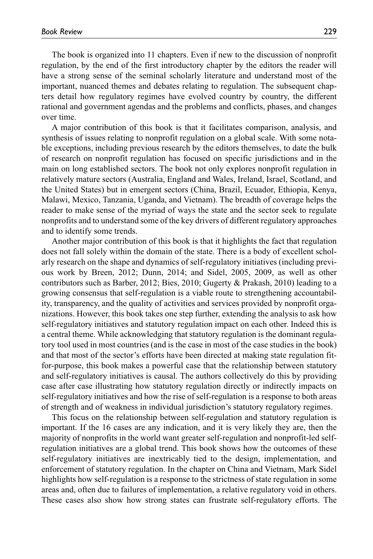The book is organized into 11 chapters. Even if new to the discussion of nonprofit regulation, by the end of the first introductory chapter by the editors the reader will have a strong sense of the seminal scholarly literature and understand most of the important, nuanced themes and debates relating to regulation. The subsequent chapters detail how regulatory regimes have evolved country by country, the different rational and government agendas and the problems and conflicts, phases, and changes over time.

A major contribution of this book is that it facilitates comparison, analysis, and synthesis of issues relating to nonprofit regulation on a global scale. With some notable exceptions, including previous research by the editors themselves, to date the bulk of research on nonprofit regulation has focused on specific jurisdictions and in the main on long established sectors. The book not only explores nonprofit regulation in relatively mature sectors (Australia, England and Wales, Ireland, Israel, Scotland, and the United States) but in emergent sectors (China, Brazil, Ecuador, Ethiopia, Kenya, Malawi, Mexico, Tanzania, Uganda, and Vietnam). The breadth of coverage helps the reader to make sense of the myriad of ways the state and the sector seek to regulate nonprofits and to understand some of the key drivers of different regulatory approaches and to identify some trends.

Another major contribution of this book is that it highlights the fact that regulation does not fall solely within the domain of the state. There is a body of excellent scholarly research on the shape and dynamics of self-regulatory initiatives (including previous work by Breen, 2012; Dunn, 2014; and Sidel, 2005, 2009, as well as other contributors such as Barber, 2012; Bies, 2010; Gugerty & Prakash, 2010) leading to a growing consensus that self-regulation is a viable route to strengthening accountability, transparency, and the quality of activities and services provided by nonprofit organizations. However, this book takes one step further, extending the analysis to ask how self-regulatory initiatives and statutory regulation impact on each other. Indeed this is a central theme. While acknowledging that statutory regulation is the dominant regulatory tool used in most countries (and is the case in most of the case studies in the book) and that most of the sector's efforts have been directed at making state regulation fitfor-purpose, this book makes a powerful case that the relationship between statutory and self-regulatory initiatives is causal. The authors collectively do this by providing case after case illustrating how statutory regulation directly or indirectly impacts on self-regulatory initiatives and how the rise of self-regulation is a response to both areas of strength and of weakness in individual jurisdiction's statutory regulatory regimes.

This focus on the relationship between self-regulation and statutory regulation is important. If the 16 cases are any indication, and it is very likely they are, then the majority of nonprofits in the world want greater self-regulation and nonprofit-led selfregulation initiatives are a global trend. This book shows how the outcomes of these self-regulatory initiatives are inextricably tied to the design, implementation, and enforcement of statutory regulation. In the chapter on China and Vietnam, Mark Sidel highlights how self-regulation is a response to the strictness of state regulation in some areas and, often due to failures of implementation, a relative regulatory void in others. These cases also show how strong states can frustrate self-regulatory efforts. The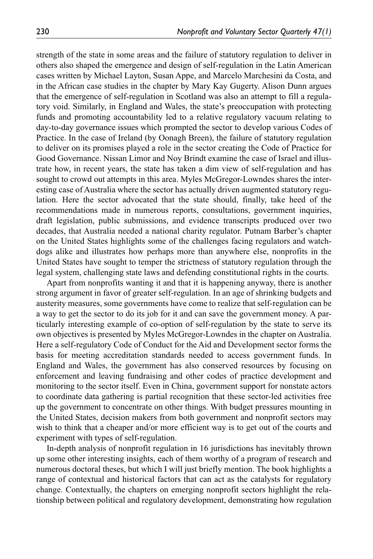strength of the state in some areas and the failure of statutory regulation to deliver in others also shaped the emergence and design of self-regulation in the Latin American cases written by Michael Layton, Susan Appe, and Marcelo Marchesini da Costa, and in the African case studies in the chapter by Mary Kay Gugerty. Alison Dunn argues that the emergence of self-regulation in Scotland was also an attempt to fill a regulatory void. Similarly, in England and Wales, the state's preoccupation with protecting funds and promoting accountability led to a relative regulatory vacuum relating to day-to-day governance issues which prompted the sector to develop various Codes of Practice. In the case of Ireland (by Oonagh Breen), the failure of statutory regulation to deliver on its promises played a role in the sector creating the Code of Practice for Good Governance. Nissan Limor and Noy Brindt examine the case of Israel and illustrate how, in recent years, the state has taken a dim view of self-regulation and has sought to crowd out attempts in this area. Myles McGregor-Lowndes shares the interesting case of Australia where the sector has actually driven augmented statutory regulation. Here the sector advocated that the state should, finally, take heed of the recommendations made in numerous reports, consultations, government inquiries, draft legislation, public submissions, and evidence transcripts produced over two decades, that Australia needed a national charity regulator. Putnam Barber's chapter on the United States highlights some of the challenges facing regulators and watchdogs alike and illustrates how perhaps more than anywhere else, nonprofits in the United States have sought to temper the strictness of statutory regulation through the legal system, challenging state laws and defending constitutional rights in the courts.

Apart from nonprofits wanting it and that it is happening anyway, there is another strong argument in favor of greater self-regulation. In an age of shrinking budgets and austerity measures, some governments have come to realize that self-regulation can be a way to get the sector to do its job for it and can save the government money. A particularly interesting example of co-option of self-regulation by the state to serve its own objectives is presented by Myles McGregor-Lowndes in the chapter on Australia. Here a self-regulatory Code of Conduct for the Aid and Development sector forms the basis for meeting accreditation standards needed to access government funds. In England and Wales, the government has also conserved resources by focusing on enforcement and leaving fundraising and other codes of practice development and monitoring to the sector itself. Even in China, government support for nonstate actors to coordinate data gathering is partial recognition that these sector-led activities free up the government to concentrate on other things. With budget pressures mounting in the United States, decision makers from both government and nonprofit sectors may wish to think that a cheaper and/or more efficient way is to get out of the courts and experiment with types of self-regulation.

In-depth analysis of nonprofit regulation in 16 jurisdictions has inevitably thrown up some other interesting insights, each of them worthy of a program of research and numerous doctoral theses, but which I will just briefly mention. The book highlights a range of contextual and historical factors that can act as the catalysts for regulatory change. Contextually, the chapters on emerging nonprofit sectors highlight the relationship between political and regulatory development, demonstrating how regulation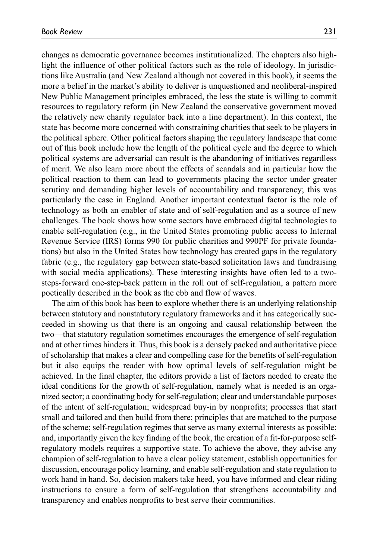changes as democratic governance becomes institutionalized. The chapters also highlight the influence of other political factors such as the role of ideology. In jurisdictions like Australia (and New Zealand although not covered in this book), it seems the more a belief in the market's ability to deliver is unquestioned and neoliberal-inspired New Public Management principles embraced, the less the state is willing to commit resources to regulatory reform (in New Zealand the conservative government moved the relatively new charity regulator back into a line department). In this context, the state has become more concerned with constraining charities that seek to be players in the political sphere. Other political factors shaping the regulatory landscape that come out of this book include how the length of the political cycle and the degree to which political systems are adversarial can result is the abandoning of initiatives regardless of merit. We also learn more about the effects of scandals and in particular how the political reaction to them can lead to governments placing the sector under greater scrutiny and demanding higher levels of accountability and transparency; this was particularly the case in England. Another important contextual factor is the role of technology as both an enabler of state and of self-regulation and as a source of new challenges. The book shows how some sectors have embraced digital technologies to enable self-regulation (e.g., in the United States promoting public access to Internal Revenue Service (IRS) forms 990 for public charities and 990PF for private foundations) but also in the United States how technology has created gaps in the regulatory fabric (e.g., the regulatory gap between state-based solicitation laws and fundraising with social media applications). These interesting insights have often led to a twosteps-forward one-step-back pattern in the roll out of self-regulation, a pattern more poetically described in the book as the ebb and flow of waves.

The aim of this book has been to explore whether there is an underlying relationship between statutory and nonstatutory regulatory frameworks and it has categorically succeeded in showing us that there is an ongoing and causal relationship between the two—that statutory regulation sometimes encourages the emergence of self-regulation and at other times hinders it. Thus, this book is a densely packed and authoritative piece of scholarship that makes a clear and compelling case for the benefits of self-regulation but it also equips the reader with how optimal levels of self-regulation might be achieved. In the final chapter, the editors provide a list of factors needed to create the ideal conditions for the growth of self-regulation, namely what is needed is an organized sector; a coordinating body for self-regulation; clear and understandable purposes of the intent of self-regulation; widespread buy-in by nonprofits; processes that start small and tailored and then build from there; principles that are matched to the purpose of the scheme; self-regulation regimes that serve as many external interests as possible; and, importantly given the key finding of the book, the creation of a fit-for-purpose selfregulatory models requires a supportive state. To achieve the above, they advise any champion of self-regulation to have a clear policy statement, establish opportunities for discussion, encourage policy learning, and enable self-regulation and state regulation to work hand in hand. So, decision makers take heed, you have informed and clear riding instructions to ensure a form of self-regulation that strengthens accountability and transparency and enables nonprofits to best serve their communities.